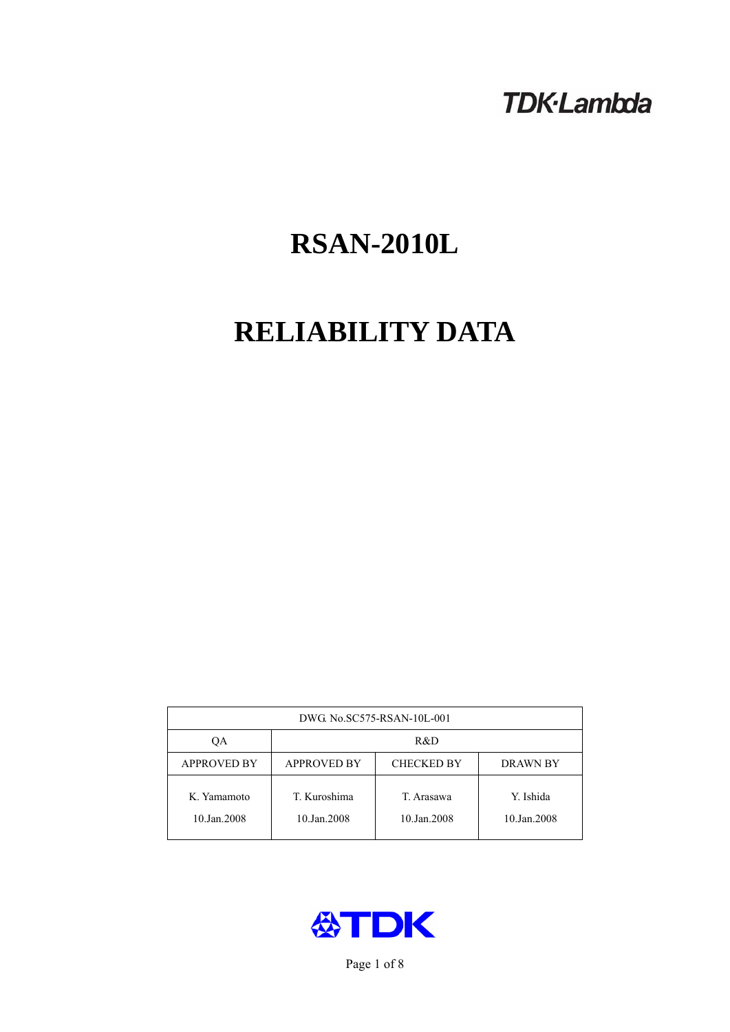# **TDK-Lambda**

# **RSAN-2010L**

# **RELIABILITY DATA**

| DWG. No.SC575-RSAN-10L-001 |                                                            |                           |                          |  |  |
|----------------------------|------------------------------------------------------------|---------------------------|--------------------------|--|--|
| ОA                         | R&D                                                        |                           |                          |  |  |
| <b>APPROVED BY</b>         | <b>APPROVED BY</b><br><b>CHECKED BY</b><br><b>DRAWN BY</b> |                           |                          |  |  |
| K. Yamamoto<br>10.Jan.2008 | T. Kuroshima<br>10.Jan.2008                                | T. Arasawa<br>10.Jan.2008 | Y. Ishida<br>10.Jan.2008 |  |  |



Page 1 of 8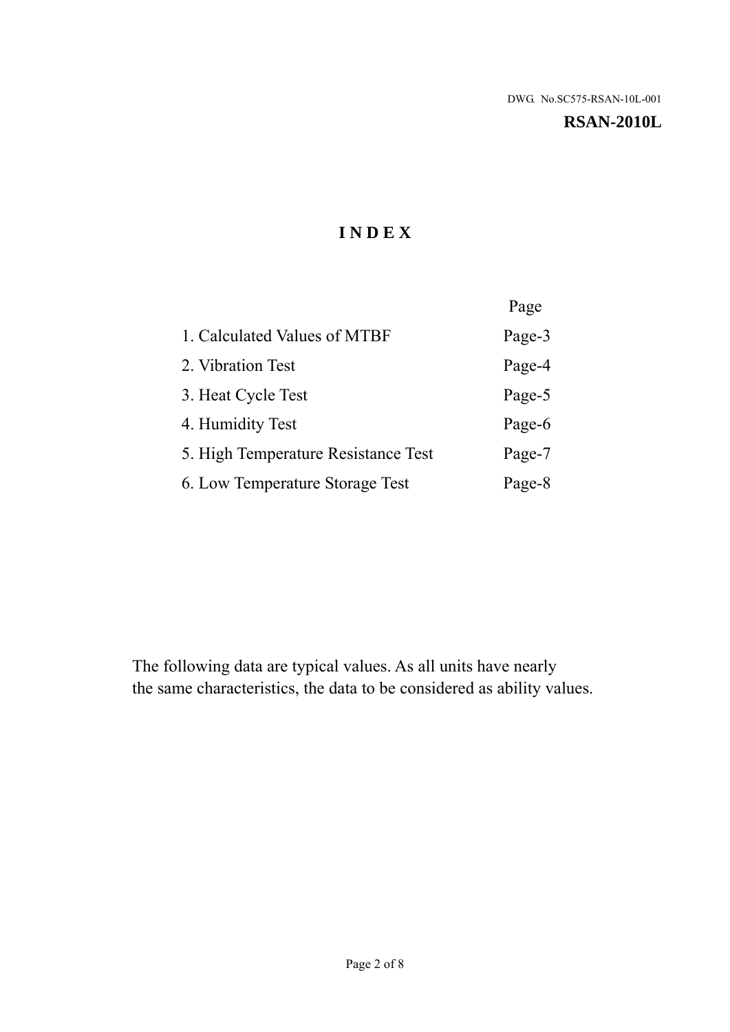#### **RSAN-2010L**

# **I N D E X**

|                                     | Page   |
|-------------------------------------|--------|
| 1. Calculated Values of MTBF        | Page-3 |
| 2. Vibration Test                   | Page-4 |
| 3. Heat Cycle Test                  | Page-5 |
| 4. Humidity Test                    | Page-6 |
| 5. High Temperature Resistance Test | Page-7 |
| 6. Low Temperature Storage Test     | Page-8 |

The following data are typical values. As all units have nearly the same characteristics, the data to be considered as ability values.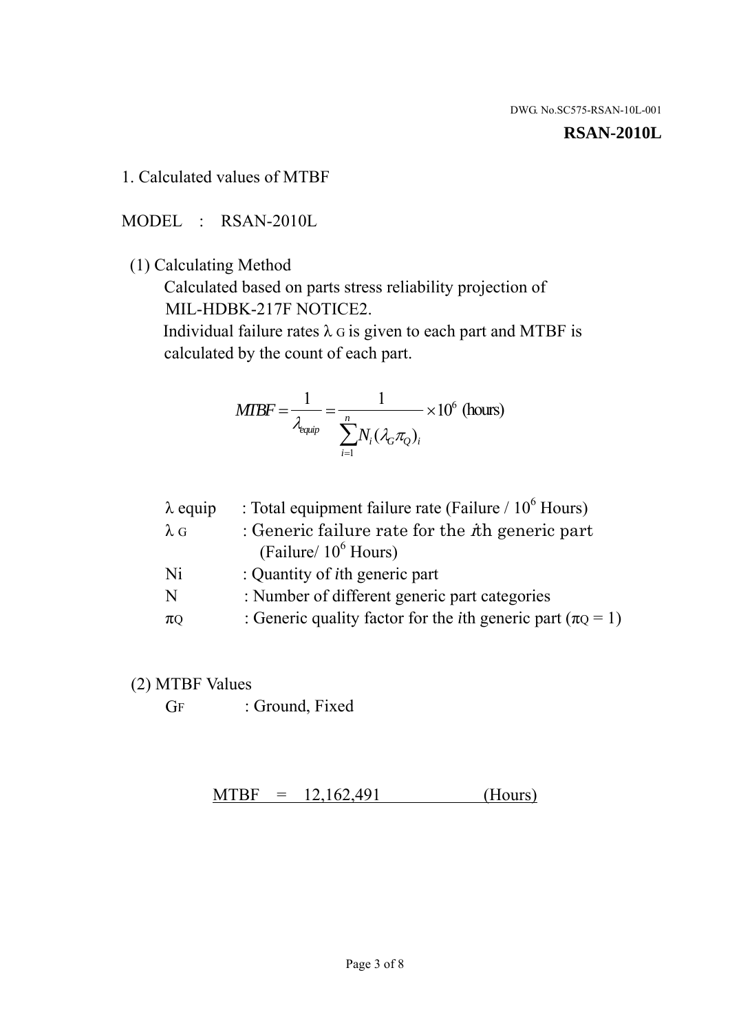#### **RSAN-2010L**

1. Calculated values of MTBF

MODEL : RSAN-2010L

(1) Calculating Method

 Calculated based on parts stress reliability projection of MIL-HDBK-217F NOTICE2.

Individual failure rates  $\lambda$  G is given to each part and MTBF is calculated by the count of each part.

$$
MTBF = \frac{1}{\lambda_{\text{equip}}} = \frac{1}{\sum_{i=1}^{n} N_i (\lambda_G \pi_Q)_i} \times 10^6 \text{ (hours)}
$$

| $\lambda$ equip | : Total equipment failure rate (Failure $/ 10^6$ Hours)                   |
|-----------------|---------------------------------------------------------------------------|
| $\lambda$ G     | : Generic failure rate for the $\hbar$ generic part                       |
|                 | (Failure/ $10^6$ Hours)                                                   |
| Ni              | : Quantity of <i>i</i> th generic part                                    |
| N               | : Number of different generic part categories                             |
| $\pi$ Q         | : Generic quality factor for the <i>i</i> th generic part ( $\pi Q = 1$ ) |

- (2) MTBF Values
	- GF : Ground, Fixed

 $MTBF = 12,162,491$  (Hours)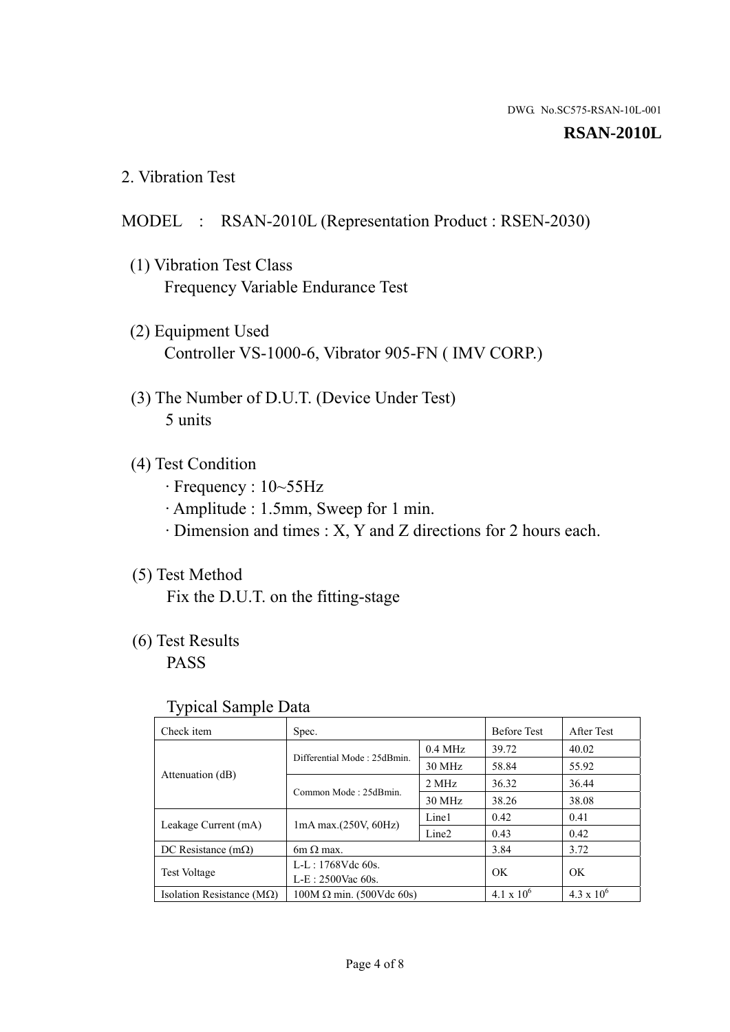#### **RSAN-2010L**

2. Vibration Test

#### MODEL : RSAN-2010L (Representation Product : RSEN-2030)

- (1) Vibration Test Class Frequency Variable Endurance Test
- (2) Equipment Used Controller VS-1000-6, Vibrator 905-FN ( IMV CORP.)
- (3) The Number of D.U.T. (Device Under Test) 5 units
- (4) Test Condition
	- · Frequency : 10~55Hz
	- · Amplitude : 1.5mm, Sweep for 1 min.
	- · Dimension and times : X, Y and Z directions for 2 hours each.

## (5) Test Method

Fix the D.U.T. on the fitting-stage

# (6) Test Results

PASS

#### Typical Sample Data

| ັ່                                 |                                                         |           |                     |                     |
|------------------------------------|---------------------------------------------------------|-----------|---------------------|---------------------|
| Check item                         | Spec.                                                   |           | <b>Before Test</b>  | After Test          |
|                                    | Differential Mode: 25dBmin.                             | $0.4$ MHz | 39.72               | 40.02               |
|                                    |                                                         | 30 MHz    | 58.84               | 55.92               |
| Attenuation (dB)                   | Common Mode: 25dBmin.                                   | 2 MHz     | 36.32               | 36.44               |
|                                    |                                                         | 30 MHz    | 38.26               | 38.08               |
| Leakage Current (mA)               | Line1<br>$1mA$ max. $(250V, 60Hz)$<br>Line <sub>2</sub> |           | 0.42                | 0.41                |
|                                    |                                                         |           | 0.43                | 0.42                |
| DC Resistance $(m\Omega)$          | 6m $\Omega$ max.                                        |           | 3.84                | 3.72                |
| <b>Test Voltage</b>                | $L-L: 1768Vdc$ 60s.                                     |           | OK                  | OK.                 |
|                                    | $L-E: 2500$ Vac 60s.                                    |           |                     |                     |
| Isolation Resistance ( $M\Omega$ ) | $100M \Omega$ min. (500Vdc 60s)                         |           | $4.1 \times 10^{6}$ | $4.3 \times 10^{6}$ |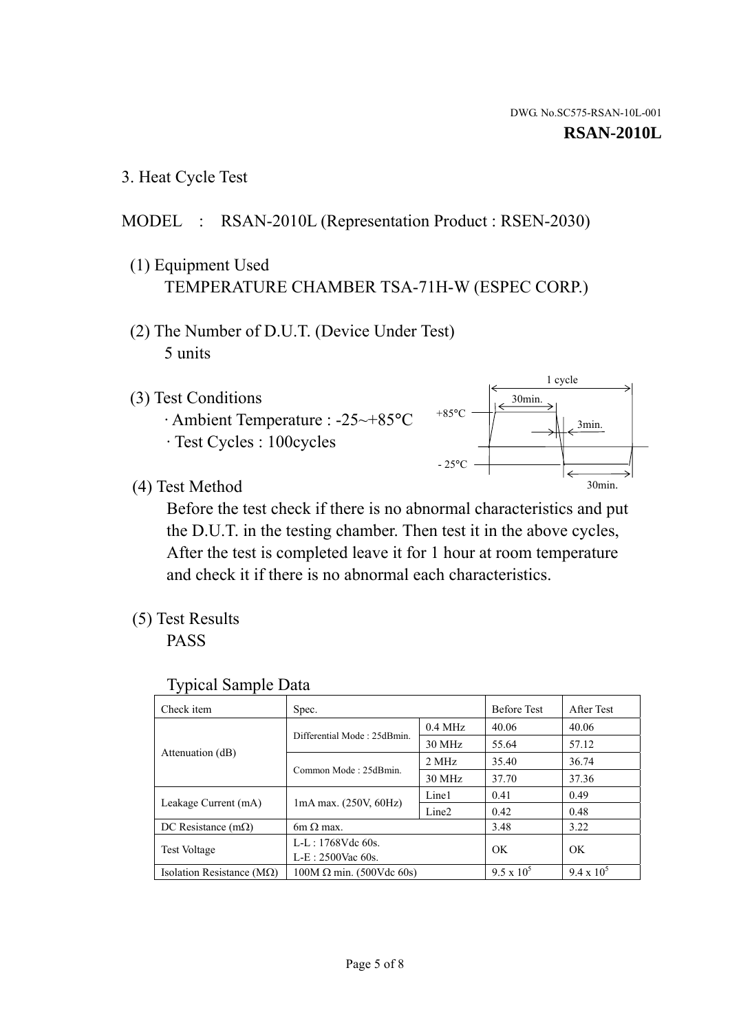3. Heat Cycle Test

## MODEL : RSAN-2010L (Representation Product : RSEN-2030)

- (1) Equipment Used TEMPERATURE CHAMBER TSA-71H-W (ESPEC CORP.)
- (2) The Number of D.U.T. (Device Under Test) 5 units
- (3) Test Conditions
	- · Ambient Temperature : -25~+85°C · Test Cycles : 100cycles



(4) Test Method

 Before the test check if there is no abnormal characteristics and put the D.U.T. in the testing chamber. Then test it in the above cycles, After the test is completed leave it for 1 hour at room temperature and check it if there is no abnormal each characteristics.

(5) Test Results

PASS

| <b>Typical Sample Data</b> |  |  |
|----------------------------|--|--|
|----------------------------|--|--|

| Check item                    | Spec.                                                                                                  |           | <b>Before Test</b> | After Test        |
|-------------------------------|--------------------------------------------------------------------------------------------------------|-----------|--------------------|-------------------|
|                               |                                                                                                        | $0.4$ MHz | 40.06              | 40.06             |
|                               | Differential Mode: 25dBmin.                                                                            | 30 MHz    | 55.64              | 57.12             |
| Attenuation (dB)              | Common Mode: 25dBmin.                                                                                  | 2 MHz     | 35.40              | 36.74             |
|                               |                                                                                                        | 30 MHz    | 37.70              | 37.36             |
|                               | Line1<br>$1mA$ max. $(250V, 60Hz)$<br>Line <sub>2</sub><br>$6m \Omega$ max.<br>L-L: $1768V$ de $60s$ . |           | 0.41               | 0.49              |
| Leakage Current (mA)          |                                                                                                        |           | 0.42               | 0.48              |
| DC Resistance $(m\Omega)$     |                                                                                                        |           | 3.48               | 3.22              |
|                               |                                                                                                        |           | OK                 | OK                |
| <b>Test Voltage</b>           | $L-E: 2500$ Vac 60s.                                                                                   |           |                    |                   |
| Isolation Resistance ( $MQ$ ) | $100M \Omega$ min. (500Vdc 60s)                                                                        |           | $9.5 \times 10^5$  | $9.4 \times 10^5$ |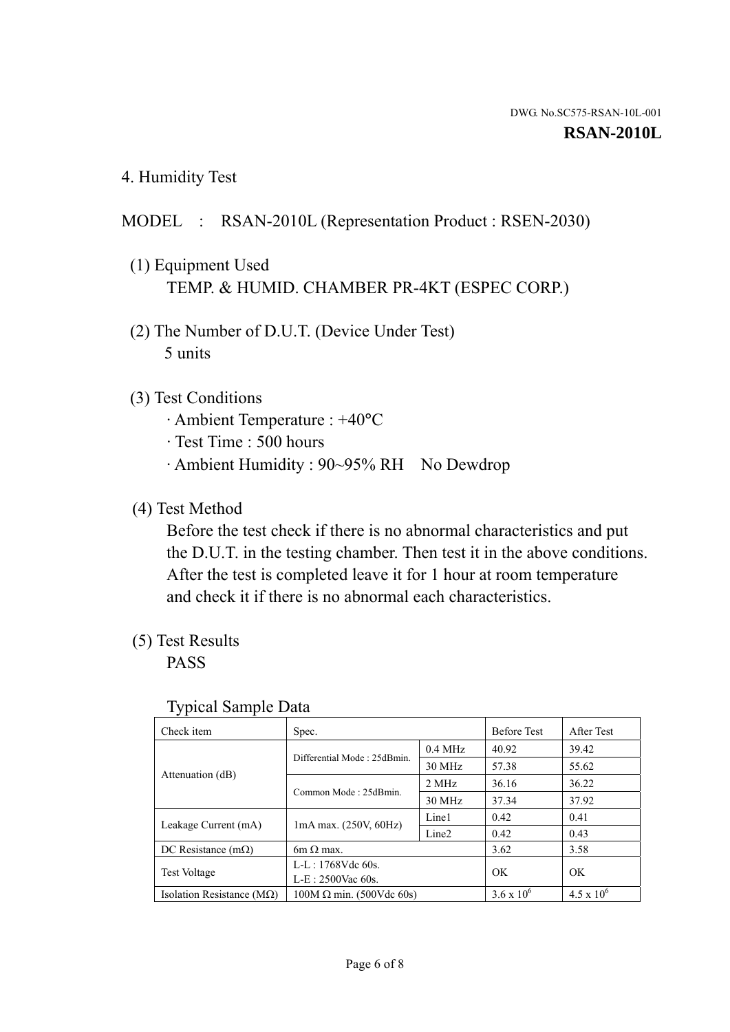4. Humidity Test

### MODEL : RSAN-2010L (Representation Product : RSEN-2030)

- (1) Equipment Used TEMP. & HUMID. CHAMBER PR-4KT (ESPEC CORP.)
- (2) The Number of D.U.T. (Device Under Test) 5 units

#### (3) Test Conditions

- · Ambient Temperature : +40°C
- · Test Time : 500 hours
- · Ambient Humidity : 90~95% RH No Dewdrop

#### (4) Test Method

 Before the test check if there is no abnormal characteristics and put the D.U.T. in the testing chamber. Then test it in the above conditions. After the test is completed leave it for 1 hour at room temperature and check it if there is no abnormal each characteristics.

### (5) Test Results

PASS

| . .                                |                                 |                   |                     |                     |
|------------------------------------|---------------------------------|-------------------|---------------------|---------------------|
| Check item                         | Spec.                           |                   | <b>Before Test</b>  | After Test          |
|                                    | Differential Mode: 25dBmin.     | $0.4$ MHz         | 40.92               | 39.42               |
|                                    |                                 | 30 MHz            | 57.38               | 55.62               |
| Attenuation (dB)                   | Common Mode: 25dBmin.           | 2 MHz             | 36.16               | 36.22               |
|                                    |                                 | 30 MHz            | 37.34               | 37.92               |
| Leakage Current (mA)               | $1mA$ max. $(250V, 60Hz)$       | Line1             | 0.42                | 0.41                |
|                                    |                                 | Line <sub>2</sub> | 0.42                | 0.43                |
| DC Resistance $(m\Omega)$          | 6m $\Omega$ max.                |                   | 3.62                | 3.58                |
| <b>Test Voltage</b>                | $L-L: 1768Vdc$ 60s.             |                   | OK                  | OK                  |
|                                    | $L-E: 2500$ Vac 60s.            |                   |                     |                     |
| Isolation Resistance ( $M\Omega$ ) | $100M \Omega$ min. (500Vdc 60s) |                   | $3.6 \times 10^{6}$ | $4.5 \times 10^{6}$ |

#### Typical Sample Data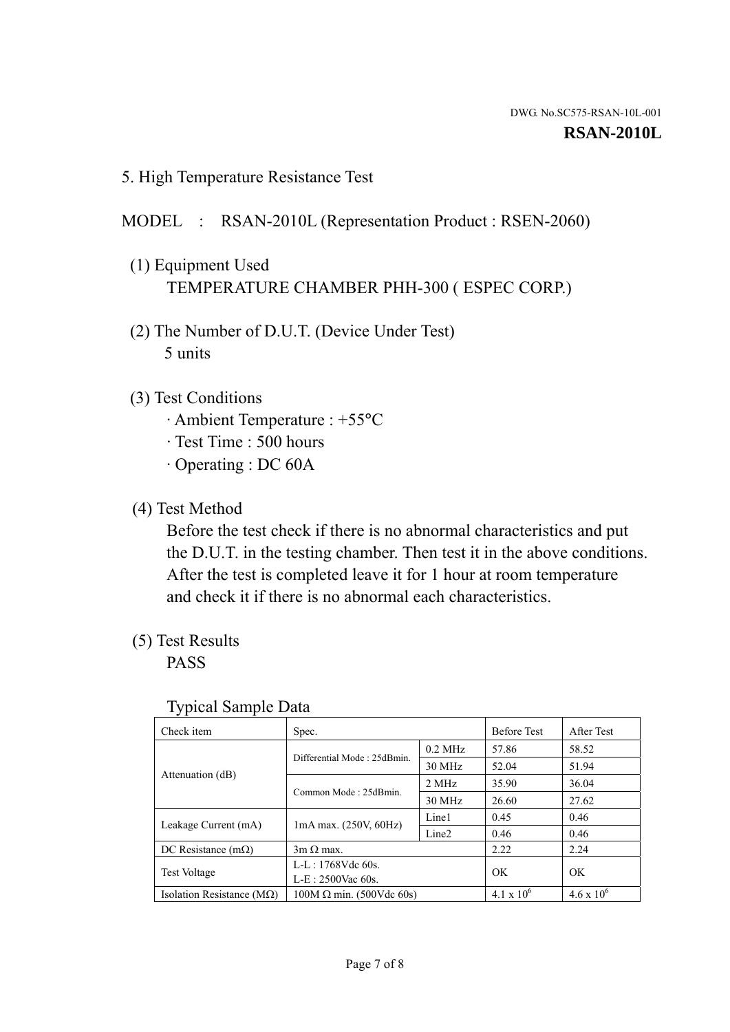5. High Temperature Resistance Test

#### MODEL : RSAN-2010L (Representation Product : RSEN-2060)

- (1) Equipment Used TEMPERATURE CHAMBER PHH-300 ( ESPEC CORP.)
- (2) The Number of D.U.T. (Device Under Test) 5 units
- (3) Test Conditions
	- · Ambient Temperature : +55°C
	- · Test Time : 500 hours
	- · Operating : DC 60A
- (4) Test Method

 Before the test check if there is no abnormal characteristics and put the D.U.T. in the testing chamber. Then test it in the above conditions. After the test is completed leave it for 1 hour at room temperature and check it if there is no abnormal each characteristics.

(5) Test Results

PASS

| ╯┸                                 |                                                         |           |                     |                     |
|------------------------------------|---------------------------------------------------------|-----------|---------------------|---------------------|
| Check item                         | Spec.                                                   |           | <b>Before Test</b>  | After Test          |
|                                    | Differential Mode: 25dBmin.                             | $0.2$ MHz | 57.86               | 58.52               |
|                                    |                                                         | 30 MHz    | 52.04               | 51.94               |
| Attenuation (dB)                   | Common Mode: 25dBmin.                                   | 2 MHz     | 35.90               | 36.04               |
|                                    |                                                         | 30 MHz    | 26.60               | 27.62               |
| Leakage Current (mA)               | Line1<br>$1mA$ max. $(250V, 60Hz)$<br>Line <sub>2</sub> |           | 0.45                | 0.46                |
|                                    |                                                         |           | 0.46                | 0.46                |
| DC Resistance $(m\Omega)$          | $3m \Omega$ max.                                        |           | 2.22                | 2.24                |
| <b>Test Voltage</b>                | $L-L: 1768Vdc$ 60s.                                     |           | OK                  | OK                  |
|                                    | $L-E: 2500$ Vac 60s.                                    |           |                     |                     |
| Isolation Resistance ( $M\Omega$ ) | $100M \Omega$ min. (500Vdc 60s)                         |           | $4.1 \times 10^{6}$ | $4.6 \times 10^{6}$ |

#### Typical Sample Data